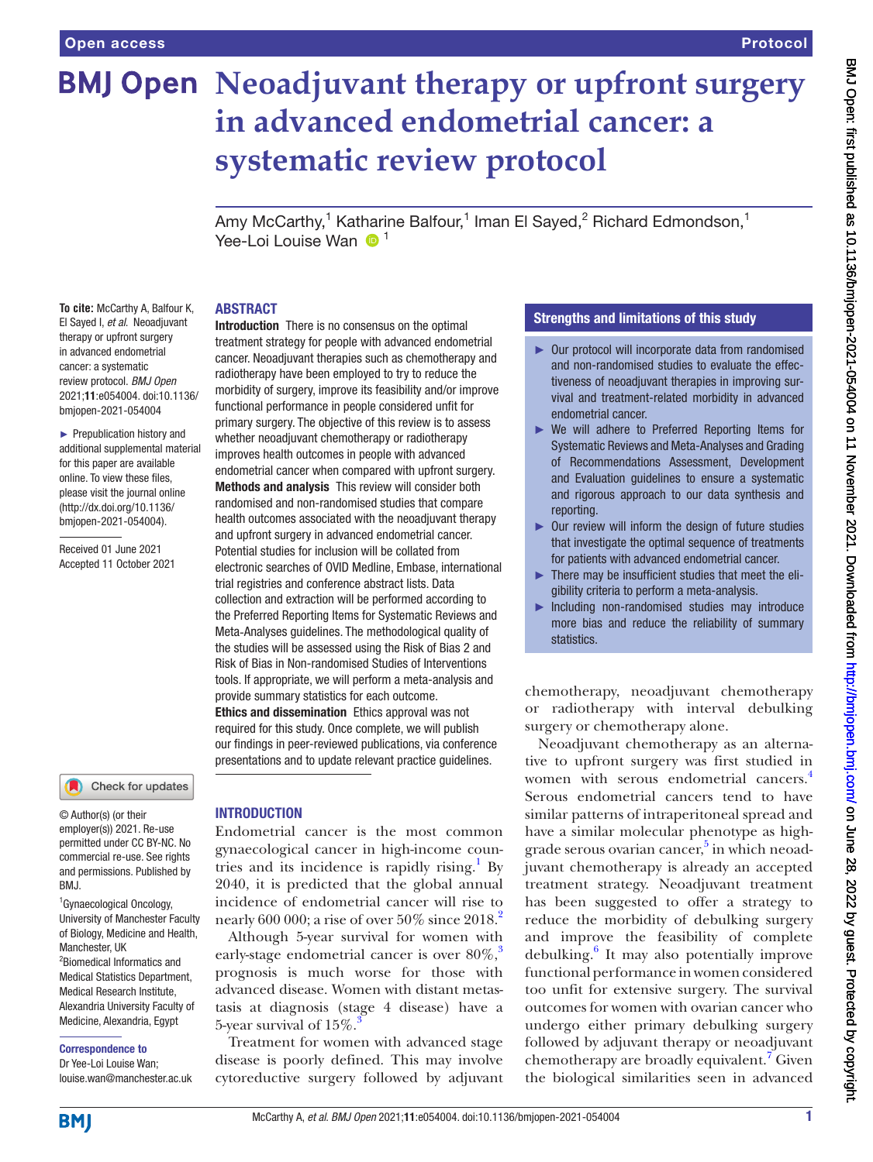# **BMJ Open Neoadjuvant therapy or upfront surgery in advanced endometrial cancer: a systematic review protocol**

Amy McCarthy,<sup>1</sup> Katharine Balfour,<sup>1</sup> Iman El Sayed,<sup>2</sup> Richard Edmondson,<sup>1</sup> Yee-Loi Louise Wan  $\bigcirc$ <sup>1</sup>

### ABSTRACT

**To cite:** McCarthy A, Balfour K, El Sayed I, *et al*. Neoadjuvant therapy or upfront surgery in advanced endometrial cancer: a systematic review protocol. *BMJ Open* 2021;11:e054004. doi:10.1136/ bmjopen-2021-054004

► Prepublication history and additional supplemental material for this paper are available online. To view these files, please visit the journal online [\(http://dx.doi.org/10.1136/](http://dx.doi.org/10.1136/bmjopen-2021-054004) [bmjopen-2021-054004](http://dx.doi.org/10.1136/bmjopen-2021-054004)).

Received 01 June 2021 Accepted 11 October 2021

### Check for updates

© Author(s) (or their employer(s)) 2021. Re-use permitted under CC BY-NC. No commercial re-use. See rights and permissions. Published by BMJ.

1 Gynaecological Oncology, University of Manchester Faculty of Biology, Medicine and Health, Manchester, UK 2 Biomedical Informatics and Medical Statistics Department, Medical Research Institute, Alexandria University Faculty of Medicine, Alexandria, Egypt

### Correspondence to

Dr Yee-Loi Louise Wan; louise.wan@manchester.ac.uk

Introduction There is no consensus on the optimal treatment strategy for people with advanced endometrial cancer. Neoadjuvant therapies such as chemotherapy and radiotherapy have been employed to try to reduce the morbidity of surgery, improve its feasibility and/or improve functional performance in people considered unfit for primary surgery. The objective of this review is to assess whether neoadjuvant chemotherapy or radiotherapy improves health outcomes in people with advanced endometrial cancer when compared with upfront surgery. Methods and analysis This review will consider both randomised and non-randomised studies that compare health outcomes associated with the neoadjuvant therapy and upfront surgery in advanced endometrial cancer. Potential studies for inclusion will be collated from electronic searches of OVID Medline, Embase, international trial registries and conference abstract lists. Data collection and extraction will be performed according to the Preferred Reporting Items for Systematic Reviews and Meta‐Analyses guidelines. The methodological quality of the studies will be assessed using the Risk of Bias 2 and Risk of Bias in Non-randomised Studies of Interventions tools. If appropriate, we will perform a meta-analysis and provide summary statistics for each outcome. Ethics and dissemination Ethics approval was not required for this study. Once complete, we will publish our findings in peer-reviewed publications, via conference presentations and to update relevant practice guidelines.

### INTRODUCTION

Endometrial cancer is the most common gynaecological cancer in high-income coun-tries and its incidence is rapidly rising.<sup>[1](#page-4-0)</sup> By 2040, it is predicted that the global annual incidence of endometrial cancer will rise to nearly 600 000; a rise of over  $50\%$  since  $2018.<sup>2</sup>$  $2018.<sup>2</sup>$ 

Although 5-year survival for women with early-stage endometrial cancer is over  $80\%$ ,<sup>[3](#page-4-2)</sup> prognosis is much worse for those with advanced disease. Women with distant metastasis at diagnosis (stage 4 disease) have a 5-year survival of  $15\%$ .

Treatment for women with advanced stage disease is poorly defined. This may involve cytoreductive surgery followed by adjuvant

### Strengths and limitations of this study

- ► Our protocol will incorporate data from randomised and non-randomised studies to evaluate the effectiveness of neoadjuvant therapies in improving survival and treatment-related morbidity in advanced endometrial cancer.
- ► We will adhere to Preferred Reporting Items for Systematic Reviews and Meta‐Analyses and Grading of Recommendations Assessment, Development and Evaluation guidelines to ensure a systematic and rigorous approach to our data synthesis and reporting.
- ► Our review will inform the design of future studies that investigate the optimal sequence of treatments for patients with advanced endometrial cancer.
- ► There may be insufficient studies that meet the eligibility criteria to perform a meta-analysis.
- Including non-randomised studies may introduce more bias and reduce the reliability of summary statistics.

chemotherapy, neoadjuvant chemotherapy or radiotherapy with interval debulking surgery or chemotherapy alone.

Neoadjuvant chemotherapy as an alternative to upfront surgery was first studied in women with serous endometrial cancers.<sup>4</sup> Serous endometrial cancers tend to have similar patterns of intraperitoneal spread and have a similar molecular phenotype as highgrade serous ovarian cancer,<sup>5</sup> in which neoadjuvant chemotherapy is already an accepted treatment strategy. Neoadjuvant treatment has been suggested to offer a strategy to reduce the morbidity of debulking surgery and improve the feasibility of complete debulking.<sup>[6](#page-4-5)</sup> It may also potentially improve functional performance in women considered too unfit for extensive surgery. The survival outcomes for women with ovarian cancer who undergo either primary debulking surgery followed by adjuvant therapy or neoadjuvant chemotherapy are broadly equivalent.<sup>[7](#page-4-6)</sup> Given the biological similarities seen in advanced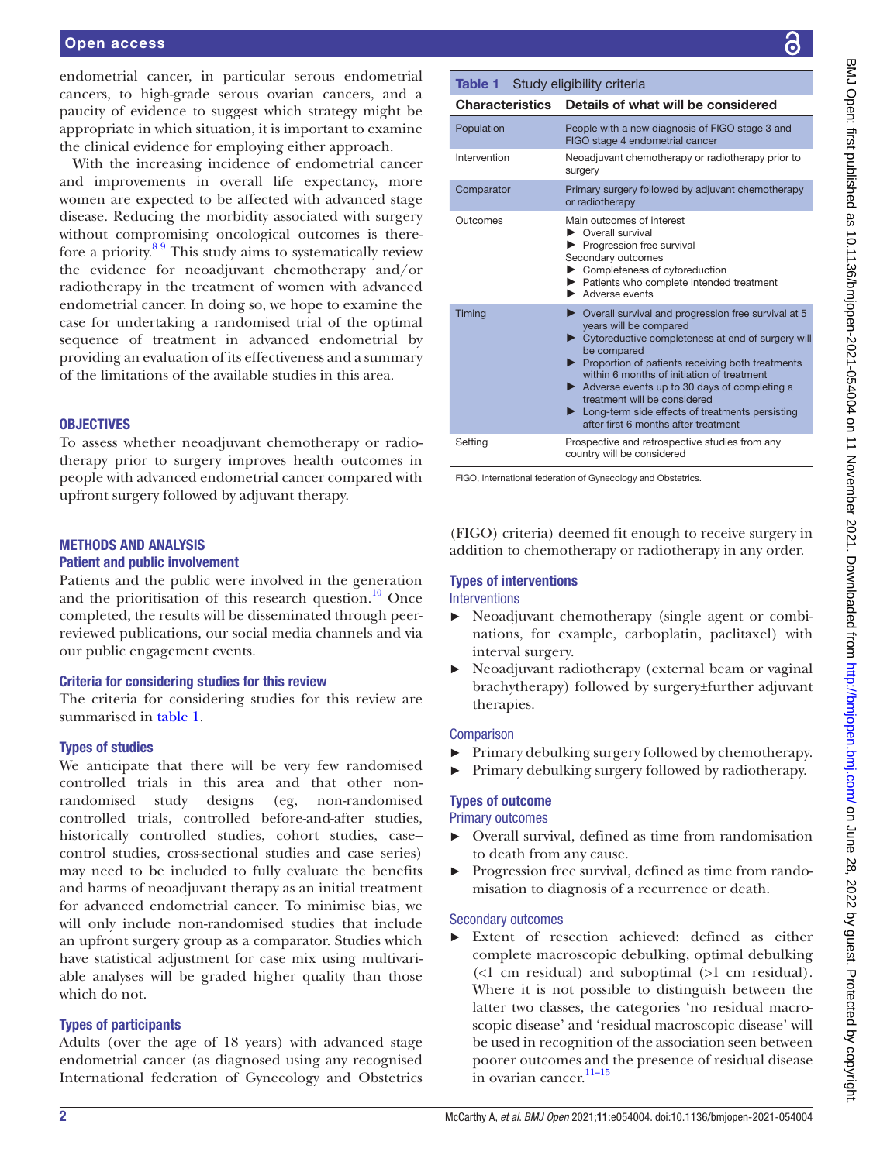### Open access

endometrial cancer, in particular serous endometrial cancers, to high-grade serous ovarian cancers, and a paucity of evidence to suggest which strategy might be appropriate in which situation, it is important to examine the clinical evidence for employing either approach.

With the increasing incidence of endometrial cancer and improvements in overall life expectancy, more women are expected to be affected with advanced stage disease. Reducing the morbidity associated with surgery without compromising oncological outcomes is therefore a priority.[8 9](#page-4-7) This study aims to systematically review the evidence for neoadjuvant chemotherapy and/or radiotherapy in the treatment of women with advanced endometrial cancer. In doing so, we hope to examine the case for undertaking a randomised trial of the optimal sequence of treatment in advanced endometrial by providing an evaluation of its effectiveness and a summary of the limitations of the available studies in this area.

### **OBJECTIVES**

To assess whether neoadjuvant chemotherapy or radiotherapy prior to surgery improves health outcomes in people with advanced endometrial cancer compared with upfront surgery followed by adjuvant therapy.

### METHODS AND ANALYSIS

### Patient and public involvement

Patients and the public were involved in the generation and the prioritisation of this research question. $10$  Once completed, the results will be disseminated through peerreviewed publications, our social media channels and via our public engagement events.

### Criteria for considering studies for this review

The criteria for considering studies for this review are summarised in [table](#page-1-0) 1.

### Types of studies

We anticipate that there will be very few randomised controlled trials in this area and that other nonrandomised study designs (eg, non-randomised controlled trials, controlled before-and-after studies, historically controlled studies, cohort studies, case– control studies, cross-sectional studies and case series) may need to be included to fully evaluate the benefits and harms of neoadjuvant therapy as an initial treatment for advanced endometrial cancer. To minimise bias, we will only include non-randomised studies that include an upfront surgery group as a comparator. Studies which have statistical adjustment for case mix using multivariable analyses will be graded higher quality than those which do not.

### Types of participants

Adults (over the age of 18 years) with advanced stage endometrial cancer (as diagnosed using any recognised International federation of Gynecology and Obstetrics

# BMJ Open: first published as 10.1136/bmjopen-2021-054004 on 11 November 2021. Downloaded from http://bmjopen.bmj.com/ on June 28, 2022 by guest. Protected by copyright BMJ Open: first published as 10.1136/bmjopen-2021-054004 on 11 November 2021. Downloaded from <http://bmjopen.bmj.com/> on June 28, 2022 by guest. Protected by copyright.

### <span id="page-1-0"></span>Table 1 Study eligibility criteria

| <b>Characteristics</b> | Details of what will be considered                                                                                                                                                                                                                                                                                                                                                                                                                    |
|------------------------|-------------------------------------------------------------------------------------------------------------------------------------------------------------------------------------------------------------------------------------------------------------------------------------------------------------------------------------------------------------------------------------------------------------------------------------------------------|
| Population             | People with a new diagnosis of FIGO stage 3 and<br>FIGO stage 4 endometrial cancer                                                                                                                                                                                                                                                                                                                                                                    |
| Intervention           | Neoadjuvant chemotherapy or radiotherapy prior to<br>surgery                                                                                                                                                                                                                                                                                                                                                                                          |
| Comparator             | Primary surgery followed by adjuvant chemotherapy<br>or radiotherapy                                                                                                                                                                                                                                                                                                                                                                                  |
| Outcomes               | Main outcomes of interest<br>▶ Overall survival<br>Progression free survival<br>Secondary outcomes<br>Completeness of cytoreduction<br>> Patients who complete intended treatment<br>Adverse events                                                                                                                                                                                                                                                   |
| Timing                 | $\triangleright$ Overall survival and progression free survival at 5<br>years will be compared<br>▶ Cytoreductive completeness at end of surgery will<br>be compared<br>▶ Proportion of patients receiving both treatments<br>within 6 months of initiation of treatment<br>Adverse events up to 30 days of completing a<br>treatment will be considered<br>• Long-term side effects of treatments persisting<br>after first 6 months after treatment |
| Setting                | Prospective and retrospective studies from any<br>country will be considered                                                                                                                                                                                                                                                                                                                                                                          |

FIGO, International federation of Gynecology and Obstetrics.

(FIGO) criteria) deemed fit enough to receive surgery in addition to chemotherapy or radiotherapy in any order.

# Types of interventions

### Interventions

- ► Neoadjuvant chemotherapy (single agent or combinations, for example, carboplatin, paclitaxel) with interval surgery.
- Neoadjuvant radiotherapy (external beam or vaginal brachytherapy) followed by surgery±further adjuvant therapies.

### **Comparison**

- ► Primary debulking surgery followed by chemotherapy.
- ► Primary debulking surgery followed by radiotherapy.

### Types of outcome

Primary outcomes

- ► Overall survival, defined as time from randomisation to death from any cause.
- Progression free survival, defined as time from randomisation to diagnosis of a recurrence or death.

### Secondary outcomes

► Extent of resection achieved: defined as either complete macroscopic debulking, optimal debulking (<1 cm residual) and suboptimal (>1 cm residual). Where it is not possible to distinguish between the latter two classes, the categories 'no residual macroscopic disease' and 'residual macroscopic disease' will be used in recognition of the association seen between poorer outcomes and the presence of residual disease in ovarian cancer.<sup>11-15</sup>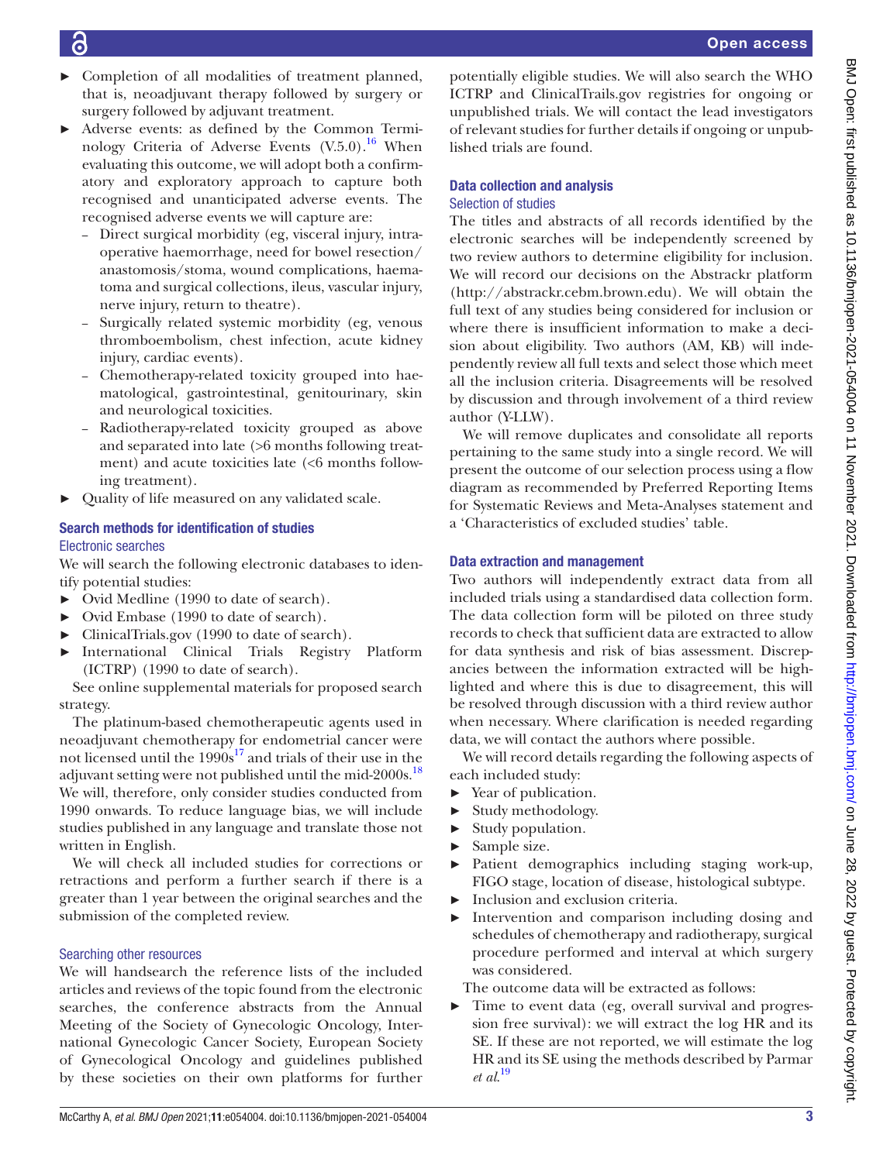- 
- ► Completion of all modalities of treatment planned, that is, neoadjuvant therapy followed by surgery or surgery followed by adjuvant treatment.
- ► Adverse events: as defined by the Common Terminology Criteria of Adverse Events  $(V.5.0)$ .<sup>16</sup> When evaluating this outcome, we will adopt both a confirmatory and exploratory approach to capture both recognised and unanticipated adverse events. The recognised adverse events we will capture are:
	- Direct surgical morbidity (eg, visceral injury, intraoperative haemorrhage, need for bowel resection/ anastomosis/stoma, wound complications, haematoma and surgical collections, ileus, vascular injury, nerve injury, return to theatre).
	- Surgically related systemic morbidity (eg, venous thromboembolism, chest infection, acute kidney injury, cardiac events).
	- Chemotherapy-related toxicity grouped into haematological, gastrointestinal, genitourinary, skin and neurological toxicities.
	- Radiotherapy-related toxicity grouped as above and separated into late (>6 months following treatment) and acute toxicities late (<6 months following treatment).
- Quality of life measured on any validated scale.

### Search methods for identification of studies Electronic searches

We will search the following electronic databases to identify potential studies:

- ► Ovid Medline (1990 to date of search).
- ► Ovid Embase (1990 to date of search).
- ► ClinicalTrials.gov (1990 to date of search).
- ► International Clinical Trials Registry Platform (ICTRP) (1990 to date of search).

See [online supplemental materials](https://dx.doi.org/10.1136/bmjopen-2021-054004) for proposed search strategy.

The platinum-based chemotherapeutic agents used in neoadjuvant chemotherapy for endometrial cancer were not licensed until the  $1990s^{17}$  and trials of their use in the adjuvant setting were not published until the mid-2000s.<sup>[18](#page-4-12)</sup> We will, therefore, only consider studies conducted from 1990 onwards. To reduce language bias, we will include studies published in any language and translate those not written in English.

We will check all included studies for corrections or retractions and perform a further search if there is a greater than 1 year between the original searches and the submission of the completed review.

### Searching other resources

We will handsearch the reference lists of the included articles and reviews of the topic found from the electronic searches, the conference abstracts from the Annual Meeting of the Society of Gynecologic Oncology, International Gynecologic Cancer Society, European Society of Gynecological Oncology and guidelines published by these societies on their own platforms for further

potentially eligible studies. We will also search the WHO ICTRP and ClinicalTrails.gov registries for ongoing or unpublished trials. We will contact the lead investigators of relevant studies for further details if ongoing or unpublished trials are found.

# Data collection and analysis

### Selection of studies

The titles and abstracts of all records identified by the electronic searches will be independently screened by two review authors to determine eligibility for inclusion. We will record our decisions on the Abstrackr platform [\(http://abstrackr.cebm.brown.edu](http://abstrackr.cebm.brown.edu)). We will obtain the full text of any studies being considered for inclusion or where there is insufficient information to make a decision about eligibility. Two authors (AM, KB) will independently review all full texts and select those which meet all the inclusion criteria. Disagreements will be resolved by discussion and through involvement of a third review author (Y-LLW).

We will remove duplicates and consolidate all reports pertaining to the same study into a single record. We will present the outcome of our selection process using a flow diagram as recommended by Preferred Reporting Items for Systematic Reviews and Meta‐Analyses statement and a 'Characteristics of excluded studies' table.

### Data extraction and management

Two authors will independently extract data from all included trials using a standardised data collection form. The data collection form will be piloted on three study records to check that sufficient data are extracted to allow for data synthesis and risk of bias assessment. Discrepancies between the information extracted will be highlighted and where this is due to disagreement, this will be resolved through discussion with a third review author when necessary. Where clarification is needed regarding data, we will contact the authors where possible.

We will record details regarding the following aspects of each included study:

- ► Year of publication.
- ► Study methodology.
- ► Study population.
- ► Sample size.
- ► Patient demographics including staging work-up, FIGO stage, location of disease, histological subtype.
- ► Inclusion and exclusion criteria.
- Intervention and comparison including dosing and schedules of chemotherapy and radiotherapy, surgical procedure performed and interval at which surgery was considered.

The outcome data will be extracted as follows:

► Time to event data (eg, overall survival and progression free survival): we will extract the log HR and its SE. If these are not reported, we will estimate the log HR and its SE using the methods described by Parmar *et al*. [19](#page-4-13)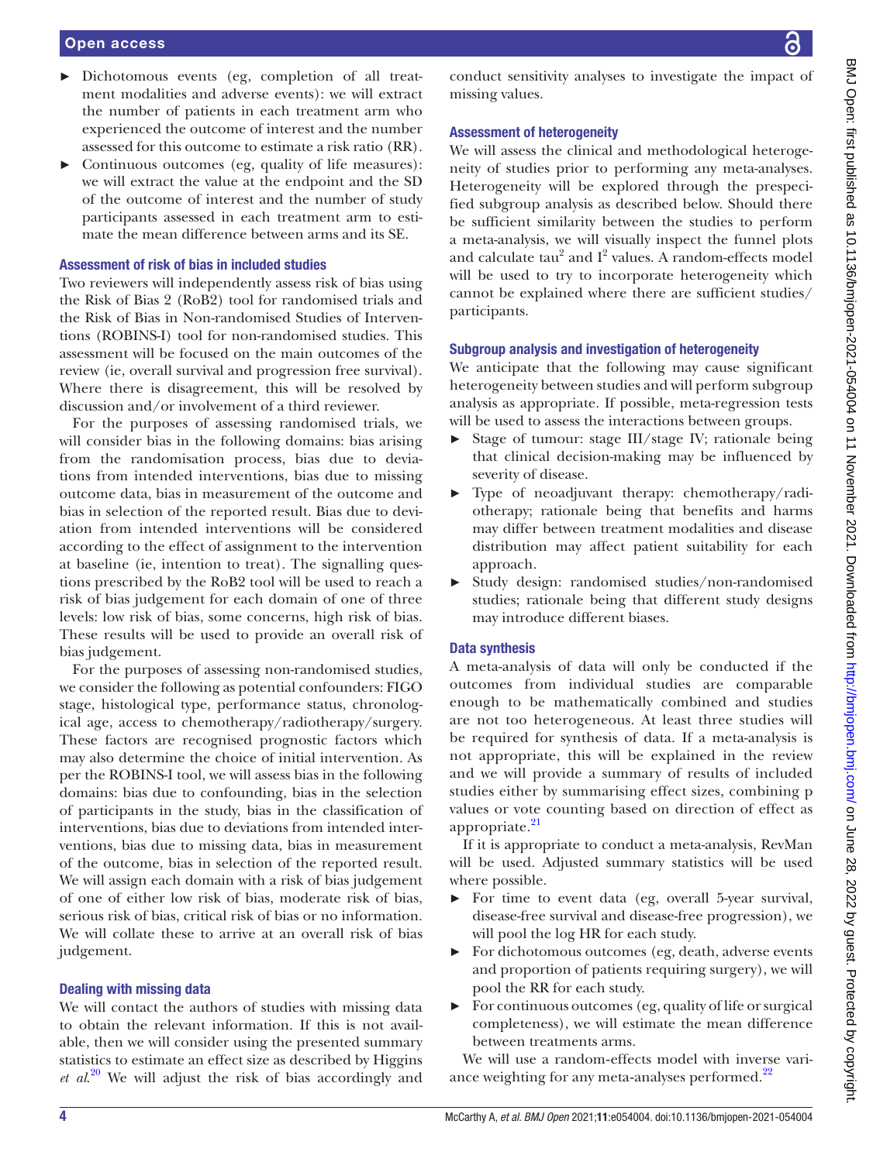## Open access

- ► Dichotomous events (eg, completion of all treatment modalities and adverse events): we will extract the number of patients in each treatment arm who experienced the outcome of interest and the number assessed for this outcome to estimate a risk ratio (RR).
- ► Continuous outcomes (eg, quality of life measures): we will extract the value at the endpoint and the SD of the outcome of interest and the number of study participants assessed in each treatment arm to estimate the mean difference between arms and its SE.

### Assessment of risk of bias in included studies

Two reviewers will independently assess risk of bias using the Risk of Bias 2 (RoB2) tool for randomised trials and the Risk of Bias in Non-randomised Studies of Interventions (ROBINS-I) tool for non-randomised studies. This assessment will be focused on the main outcomes of the review (ie, overall survival and progression free survival). Where there is disagreement, this will be resolved by discussion and/or involvement of a third reviewer.

For the purposes of assessing randomised trials, we will consider bias in the following domains: bias arising from the randomisation process, bias due to deviations from intended interventions, bias due to missing outcome data, bias in measurement of the outcome and bias in selection of the reported result. Bias due to deviation from intended interventions will be considered according to the effect of assignment to the intervention at baseline (ie, intention to treat). The signalling questions prescribed by the RoB2 tool will be used to reach a risk of bias judgement for each domain of one of three levels: low risk of bias, some concerns, high risk of bias. These results will be used to provide an overall risk of bias judgement.

For the purposes of assessing non-randomised studies, we consider the following as potential confounders: FIGO stage, histological type, performance status, chronological age, access to chemotherapy/radiotherapy/surgery. These factors are recognised prognostic factors which may also determine the choice of initial intervention. As per the ROBINS-I tool, we will assess bias in the following domains: bias due to confounding, bias in the selection of participants in the study, bias in the classification of interventions, bias due to deviations from intended interventions, bias due to missing data, bias in measurement of the outcome, bias in selection of the reported result. We will assign each domain with a risk of bias judgement of one of either low risk of bias, moderate risk of bias, serious risk of bias, critical risk of bias or no information. We will collate these to arrive at an overall risk of bias judgement.

### Dealing with missing data

We will contact the authors of studies with missing data to obtain the relevant information. If this is not available, then we will consider using the presented summary statistics to estimate an effect size as described by Higgins *et al*. [20](#page-5-0) We will adjust the risk of bias accordingly and

conduct sensitivity analyses to investigate the impact of missing values.

### Assessment of heterogeneity

We will assess the clinical and methodological heterogeneity of studies prior to performing any meta-analyses. Heterogeneity will be explored through the prespecified subgroup analysis as described below. Should there be sufficient similarity between the studies to perform a meta-analysis, we will visually inspect the funnel plots and calculate  $tau^2$  and  $I^2$  values. A random-effects model will be used to try to incorporate heterogeneity which cannot be explained where there are sufficient studies/ participants.

### Subgroup analysis and investigation of heterogeneity

We anticipate that the following may cause significant heterogeneity between studies and will perform subgroup analysis as appropriate. If possible, meta-regression tests will be used to assess the interactions between groups.

- ► Stage of tumour: stage III/stage IV; rationale being that clinical decision-making may be influenced by severity of disease.
- ► Type of neoadjuvant therapy: chemotherapy/radiotherapy; rationale being that benefits and harms may differ between treatment modalities and disease distribution may affect patient suitability for each approach.
- ► Study design: randomised studies/non-randomised studies; rationale being that different study designs may introduce different biases.

### Data synthesis

A meta-analysis of data will only be conducted if the outcomes from individual studies are comparable enough to be mathematically combined and studies are not too heterogeneous. At least three studies will be required for synthesis of data. If a meta-analysis is not appropriate, this will be explained in the review and we will provide a summary of results of included studies either by summarising effect sizes, combining p values or vote counting based on direction of effect as appropriate.<sup>[21](#page-5-1)</sup>

If it is appropriate to conduct a meta-analysis, RevMan will be used. Adjusted summary statistics will be used where possible.

- ► For time to event data (eg, overall 5-year survival, disease-free survival and disease-free progression), we will pool the log HR for each study.
- ► For dichotomous outcomes (eg, death, adverse events and proportion of patients requiring surgery), we will pool the RR for each study.
- ► For continuous outcomes (eg, quality of life or surgical completeness), we will estimate the mean difference between treatments arms.

We will use a random-effects model with inverse variance weighting for any meta-analyses performed.<sup>22</sup>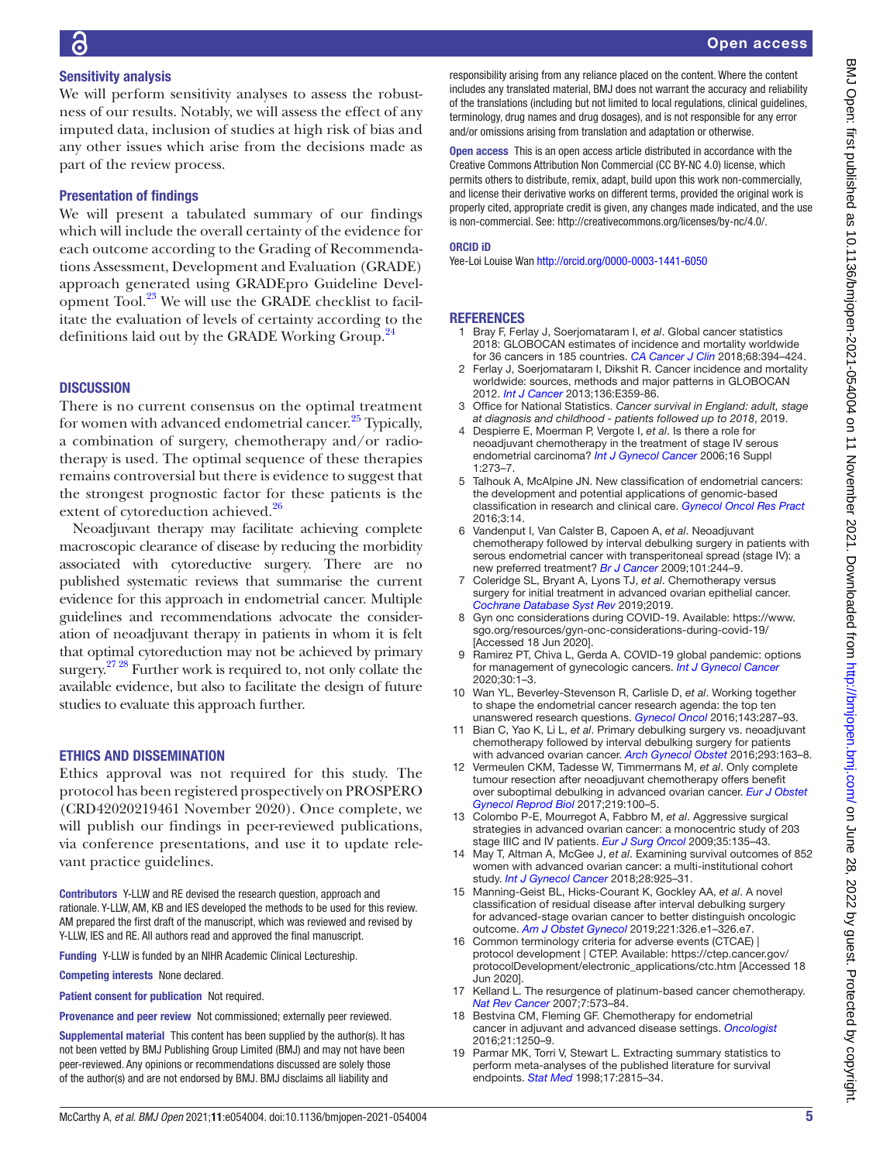### Sensitivity analysis

We will perform sensitivity analyses to assess the robustness of our results. Notably, we will assess the effect of any imputed data, inclusion of studies at high risk of bias and any other issues which arise from the decisions made as part of the review process.

### Presentation of findings

We will present a tabulated summary of our findings which will include the overall certainty of the evidence for each outcome according to the Grading of Recommendations Assessment, Development and Evaluation (GRADE) approach generated using GRADEpro Guideline Development Tool.<sup>23</sup> We will use the GRADE checklist to facilitate the evaluation of levels of certainty according to the definitions laid out by the GRADE Working Group.<sup>[24](#page-5-4)</sup>

### **DISCUSSION**

There is no current consensus on the optimal treatment for women with advanced endometrial cancer.<sup>25</sup> Typically, a combination of surgery, chemotherapy and/or radiotherapy is used. The optimal sequence of these therapies remains controversial but there is evidence to suggest that the strongest prognostic factor for these patients is the extent of cytoreduction achieved.<sup>[26](#page-5-6)</sup>

Neoadjuvant therapy may facilitate achieving complete macroscopic clearance of disease by reducing the morbidity associated with cytoreductive surgery. There are no published systematic reviews that summarise the current evidence for this approach in endometrial cancer. Multiple guidelines and recommendations advocate the consideration of neoadjuvant therapy in patients in whom it is felt that optimal cytoreduction may not be achieved by primary surgery.<sup>27 28</sup> Further work is required to, not only collate the available evidence, but also to facilitate the design of future studies to evaluate this approach further.

### ETHICS AND DISSEMINATION

Ethics approval was not required for this study. The protocol has been registered prospectively on PROSPERO (CRD42020219461 November 2020). Once complete, we will publish our findings in peer-reviewed publications, via conference presentations, and use it to update relevant practice guidelines.

Contributors Y-LLW and RE devised the research question, approach and rationale. Y-LLW, AM, KB and IES developed the methods to be used for this review. AM prepared the first draft of the manuscript, which was reviewed and revised by Y-LLW, IES and RE. All authors read and approved the final manuscript.

Funding Y-LLW is funded by an NIHR Academic Clinical Lectureship.

Competing interests None declared.

Patient consent for publication Not required.

Provenance and peer review Not commissioned; externally peer reviewed.

Supplemental material This content has been supplied by the author(s). It has not been vetted by BMJ Publishing Group Limited (BMJ) and may not have been peer-reviewed. Any opinions or recommendations discussed are solely those of the author(s) and are not endorsed by BMJ. BMJ disclaims all liability and

responsibility arising from any reliance placed on the content. Where the content includes any translated material, BMJ does not warrant the accuracy and reliability of the translations (including but not limited to local regulations, clinical guidelines, terminology, drug names and drug dosages), and is not responsible for any error and/or omissions arising from translation and adaptation or otherwise.

Open access This is an open access article distributed in accordance with the Creative Commons Attribution Non Commercial (CC BY-NC 4.0) license, which permits others to distribute, remix, adapt, build upon this work non-commercially, and license their derivative works on different terms, provided the original work is properly cited, appropriate credit is given, any changes made indicated, and the use is non-commercial. See: [http://creativecommons.org/licenses/by-nc/4.0/.](http://creativecommons.org/licenses/by-nc/4.0/)

### ORCID iD

Yee-Loi Louise Wan <http://orcid.org/0000-0003-1441-6050>

### REFERENCES

- <span id="page-4-0"></span>1 Bray F, Ferlay J, Soerjomataram I, *et al*. Global cancer statistics 2018: GLOBOCAN estimates of incidence and mortality worldwide for 36 cancers in 185 countries. *[CA Cancer J Clin](http://dx.doi.org/10.3322/caac.21492)* 2018;68:394–424.
- <span id="page-4-1"></span>2 Ferlay J, Soerjomataram I, Dikshit R. Cancer incidence and mortality worldwide: sources, methods and major patterns in GLOBOCAN 2012. *[Int J Cancer](http://dx.doi.org/10.1002/ijc.29210)* 2013;136:E359-86.
- <span id="page-4-2"></span>3 Office for National Statistics. *Cancer survival in England: adult, stage at diagnosis and childhood - patients followed up to 2018*, 2019.
- <span id="page-4-3"></span>4 Despierre E, Moerman P, Vergote I, *et al*. Is there a role for neoadjuvant chemotherapy in the treatment of stage IV serous endometrial carcinoma? *[Int J Gynecol Cancer](http://dx.doi.org/10.1136/ijgc-00009577-200602001-00044)* 2006;16 Suppl 1:273–7.
- <span id="page-4-4"></span>5 Talhouk A, McAlpine JN. New classification of endometrial cancers: the development and potential applications of genomic-based classification in research and clinical care. *[Gynecol Oncol Res Pract](http://dx.doi.org/10.1186/s40661-016-0035-4)* 2016;3:14.
- <span id="page-4-5"></span>6 Vandenput I, Van Calster B, Capoen A, *et al*. Neoadjuvant chemotherapy followed by interval debulking surgery in patients with serous endometrial cancer with transperitoneal spread (stage IV): a new preferred treatment? *[Br J Cancer](http://dx.doi.org/10.1038/sj.bjc.6605157)* 2009;101:244–9.
- <span id="page-4-6"></span>7 Coleridge SL, Bryant A, Lyons TJ, *et al*. Chemotherapy versus surgery for initial treatment in advanced ovarian epithelial cancer. *[Cochrane Database Syst Rev](http://dx.doi.org/10.1002/14651858.CD005343.pub4)* 2019;2019.
- <span id="page-4-7"></span>8 Gyn onc considerations during COVID-19. Available: [https://www.](https://www.sgo.org/resources/gyn-onc-considerations-during-covid-19/) [sgo.org/resources/gyn-onc-considerations-during-covid-19/](https://www.sgo.org/resources/gyn-onc-considerations-during-covid-19/)  [Accessed 18 Jun 2020].
- 9 Ramirez PT, Chiva L, Gerda A. COVID-19 global pandemic: options for management of gynecologic cancers. *[Int J Gynecol Cancer](http://dx.doi.org/10.1136/ijgc-2020-001419)* 2020;30:1–3.
- <span id="page-4-8"></span>10 Wan YL, Beverley-Stevenson R, Carlisle D, *et al*. Working together to shape the endometrial cancer research agenda: the top ten unanswered research questions. *[Gynecol Oncol](http://dx.doi.org/10.1016/j.ygyno.2016.08.333)* 2016;143:287–93.
- <span id="page-4-9"></span>11 Bian C, Yao K, Li L, *et al*. Primary debulking surgery vs. neoadjuvant chemotherapy followed by interval debulking surgery for patients with advanced ovarian cancer. *[Arch Gynecol Obstet](http://dx.doi.org/10.1007/s00404-015-3813-z)* 2016;293:163–8.
- 12 Vermeulen CKM, Tadesse W, Timmermans M, *et al*. Only complete tumour resection after neoadjuvant chemotherapy offers benefit over suboptimal debulking in advanced ovarian cancer. *[Eur J Obstet](http://dx.doi.org/10.1016/j.ejogrb.2017.10.019)  [Gynecol Reprod Biol](http://dx.doi.org/10.1016/j.ejogrb.2017.10.019)* 2017;219:100–5.
- 13 Colombo P-E, Mourregot A, Fabbro M, *et al*. Aggressive surgical strategies in advanced ovarian cancer: a monocentric study of 203 stage IIIC and IV patients. *[Eur J Surg Oncol](http://dx.doi.org/10.1016/j.ejso.2008.01.005)* 2009;35:135–43.
- 14 May T, Altman A, McGee J, *et al*. Examining survival outcomes of 852 women with advanced ovarian cancer: a multi-institutional cohort study. *[Int J Gynecol Cancer](http://dx.doi.org/10.1097/IGC.0000000000001244)* 2018;28:925–31.
- 15 Manning-Geist BL, Hicks-Courant K, Gockley AA, *et al*. A novel classification of residual disease after interval debulking surgery for advanced-stage ovarian cancer to better distinguish oncologic outcome. *[Am J Obstet Gynecol](http://dx.doi.org/10.1016/j.ajog.2019.05.006)* 2019;221:326.e1–326.e7.
- <span id="page-4-10"></span>16 Common terminology criteria for adverse events (CTCAE) | protocol development | CTEP. Available: [https://ctep.cancer.gov/](https://ctep.cancer.gov/protocolDevelopment/electronic_applications/ctc.htm) [protocolDevelopment/electronic\\_applications/ctc.htm](https://ctep.cancer.gov/protocolDevelopment/electronic_applications/ctc.htm) [Accessed 18 Jun 2020].
- <span id="page-4-11"></span>17 Kelland L. The resurgence of platinum-based cancer chemotherapy. *[Nat Rev Cancer](http://dx.doi.org/10.1038/nrc2167)* 2007;7:573–84.
- <span id="page-4-12"></span>18 Bestvina CM, Fleming GF. Chemotherapy for endometrial cancer in adjuvant and advanced disease settings. *[Oncologist](http://dx.doi.org/10.1634/theoncologist.2016-0062)* 2016;21:1250–9.
- <span id="page-4-13"></span>19 Parmar MK, Torri V, Stewart L. Extracting summary statistics to perform meta-analyses of the published literature for survival endpoints. *[Stat Med](http://dx.doi.org/10.1002/(SICI)1097-0258(19981230)17:24<2815::AID-SIM110>3.0.CO;2-8)* 1998;17:2815–34.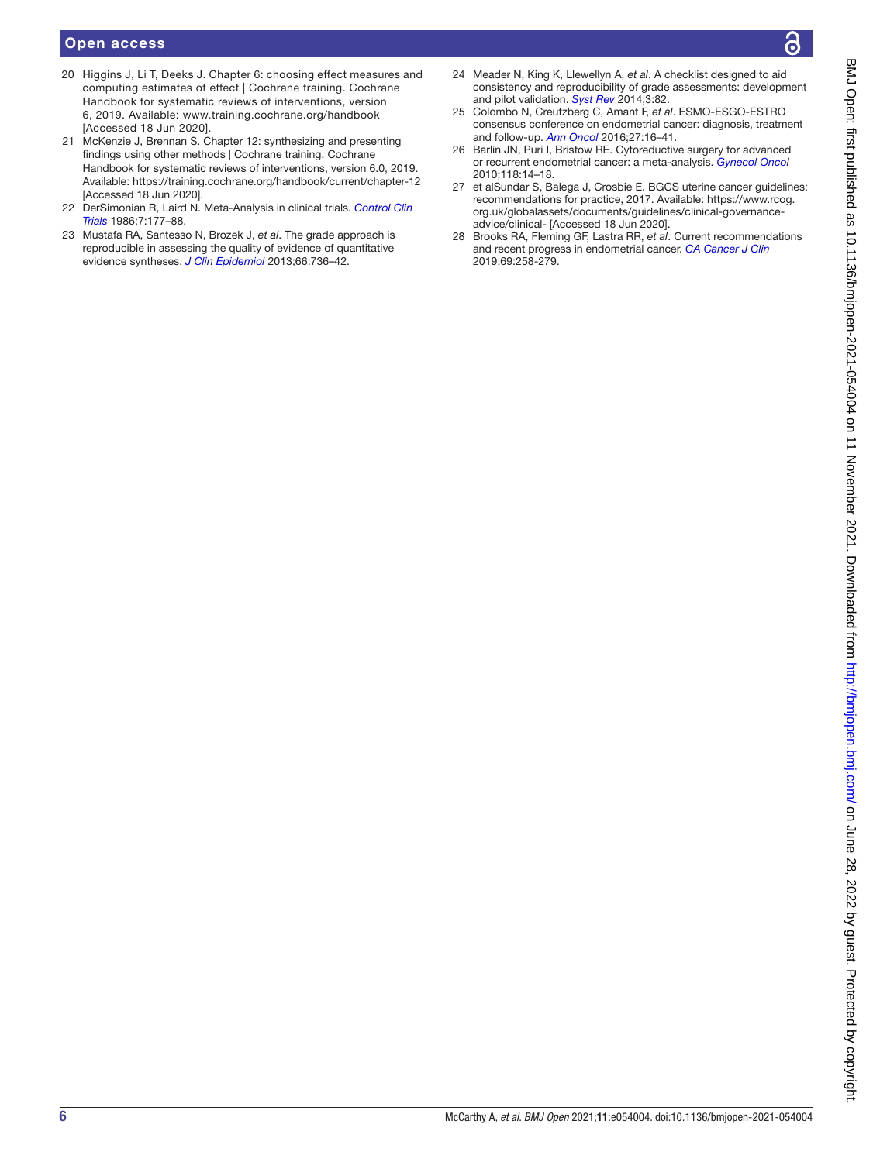### Open access

- <span id="page-5-0"></span>20 Higgins J, Li T, Deeks J. Chapter 6: choosing effect measures and computing estimates of effect | Cochrane training. Cochrane Handbook for systematic reviews of interventions, version 6, 2019. Available: <www.training.cochrane.org/handbook> [Accessed 18 Jun 2020].
- <span id="page-5-1"></span>21 McKenzie J, Brennan S. Chapter 12: synthesizing and presenting findings using other methods | Cochrane training. Cochrane Handbook for systematic reviews of interventions, version 6.0, 2019. Available: <https://training.cochrane.org/handbook/current/chapter-12> [Accessed 18 Jun 2020].
- <span id="page-5-2"></span>22 DerSimonian R, Laird N. Meta-Analysis in clinical trials. *[Control Clin](http://dx.doi.org/10.1016/0197-2456(86)90046-2)  [Trials](http://dx.doi.org/10.1016/0197-2456(86)90046-2)* 1986;7:177–88.
- <span id="page-5-3"></span>23 Mustafa RA, Santesso N, Brozek J, *et al*. The grade approach is reproducible in assessing the quality of evidence of quantitative evidence syntheses. *[J Clin Epidemiol](http://dx.doi.org/10.1016/j.jclinepi.2013.02.004)* 2013;66:736–42.
- <span id="page-5-4"></span>24 Meader N, King K, Llewellyn A, *et al*. A checklist designed to aid consistency and reproducibility of grade assessments: development and pilot validation. *[Syst Rev](http://dx.doi.org/10.1186/2046-4053-3-82)* 2014;3:82.
- <span id="page-5-5"></span>25 Colombo N, Creutzberg C, Amant F, *et al*. ESMO-ESGO-ESTRO consensus conference on endometrial cancer: diagnosis, treatment and follow-up. *[Ann Oncol](http://dx.doi.org/10.1093/annonc/mdv484)* 2016;27:16–41.
- <span id="page-5-6"></span>26 Barlin JN, Puri I, Bristow RE. Cytoreductive surgery for advanced or recurrent endometrial cancer: a meta-analysis. *[Gynecol Oncol](http://dx.doi.org/10.1016/j.ygyno.2010.04.005)* 2010;118:14–18.
- <span id="page-5-7"></span>27 et alSundar S, Balega J, Crosbie E. BGCS uterine cancer guidelines: recommendations for practice, 2017. Available: [https://www.rcog.](https://www.rcog.org.uk/globalassets/documents/guidelines/clinical-governance-advice/clinical-) [org.uk/globalassets/documents/guidelines/clinical-governance](https://www.rcog.org.uk/globalassets/documents/guidelines/clinical-governance-advice/clinical-)[advice/clinical-](https://www.rcog.org.uk/globalassets/documents/guidelines/clinical-governance-advice/clinical-) [Accessed 18 Jun 2020].
- 28 Brooks RA, Fleming GF, Lastra RR, *et al*. Current recommendations and recent progress in endometrial cancer. *[CA Cancer J Clin](http://dx.doi.org/10.3322/caac.21561)* 2019;69:258-279.

BMJ Open: first published as 10.1136/bmjopen-2021-054004 on 11 November 2021. Downloaded from http://bmjopen.bmj.com/ on June 28, 2022 by guest. Protected by copyright. BMJ Open: first published as 10.1136/bmjopen-2021-054004 on 11 November 2021. Downloaded from <http://bmjopen.bmj.com/> on June 28, 2022 by guest. Protected by copyright.